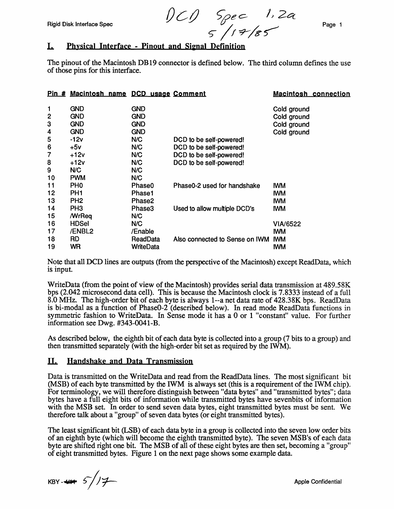Rigid Disk Interface Spec

*OC/J* ~ec- /) 2C(  $5$ /1  $7/85$  Page 1

### L. Physical Interface - Pinout and Sienal Definition

The pinout of the Macintosh DB19 connector is defined below. The third column defines the use of those pins for this interface.

| Pin#           | Macintosh name DCD usage Comment |            |                                | <b>Macintosh connection</b> |
|----------------|----------------------------------|------------|--------------------------------|-----------------------------|
| 1              | <b>GND</b>                       | <b>GND</b> |                                | Cold ground                 |
| $\overline{2}$ | <b>GND</b>                       | <b>GND</b> |                                | Cold ground                 |
| 3              | <b>GND</b>                       | <b>GND</b> |                                | Cold ground                 |
| 4              | <b>GND</b>                       | <b>GND</b> |                                | Cold ground                 |
| 5              | $-12v$                           | N/C        | DCD to be self-powered!        |                             |
| 6              | $+5v$                            | N/C        | DCD to be self-powered!        |                             |
| 7              | $+12v$                           | N/C        | DCD to be self-powered!        |                             |
| 8              | $+12v$                           | N/C        | DCD to be self-powered!        |                             |
| 9              | N/C                              | N/C        |                                |                             |
| 10             | <b>PWM</b>                       | N/C        |                                |                             |
| 11             | PH <sub>0</sub>                  | Phase0     | Phase0-2 used for handshake    | <b>IWM</b>                  |
| 12             | PH <sub>1</sub>                  | Phase1     |                                | <b>IWM</b>                  |
| 13             | PH <sub>2</sub>                  | Phase2     |                                | <b>IWM</b>                  |
| 14             | PH <sub>3</sub>                  | Phase3     | Used to allow multiple DCD's   | <b>IWM</b>                  |
| 15             | <b>MrReq</b>                     | N/C        |                                |                             |
| 16             | <b>HDSel</b>                     | N/C        |                                | <b>VIA/6522</b>             |
| 17             | /ENBL2                           | /Enable    |                                | <b>IWM</b>                  |
| 18             | <b>RD</b>                        | ReadData   | Also connected to Sense on IWM | <b>IWM</b>                  |
| 19             | WR                               | WriteData  |                                | <b>IWM</b>                  |

Note that all DCD lines are outputs (from the perspective of the Macintosh) except ReadData, which is input.

WriteData (from the point of view of the Macintosh) provides serial data transmission at 489.58K bps (2.042 microsecond data cell). This is because the Macintosh clock is 7.8333 instead of a full 8.0 MHz. The high-order bit of each byte is always 1--a net data rate of 428.38K bps. ReadData is bi-modal as a function of PhaseO-2 (described below). In read mode ReadData functions in symmetric fashion to WriteData. In Sense mode it has a 0 or 1 "constant" value. For further information see Dwg. #343-0041-B.

As described below, the eighth bit of each data byte is collected into a group (7 bits to a group) and then transmitted separately (with the high-order bit set as required by the IWM).

#### II. Handshake and Data Transmission

Data is transmitted on the WriteData and read from the ReadData lines. The most significant bit (MSB) of each byte transmitted by the IWM is always set (this is a requirement of the IWM chip). For terminology, we will therefore distinguish between "data bytes" and "transmitted bytes"; data bytes have a full eight bits of information while transmitted bytes have sevenbits of information with the MSB set. In order to send seven data bytes, eight transmitted bytes must be sent. We therefore talk about a "group" of seven data bytes (or eight transmitted bytes).

The least significant bit (LSB) of each data byte in a group is collected into the seven low order bits of an eighth byte (which will become the eighth transmitted byte). The seven MSB's of each data byte are shifted right one bit. The MSB of all of these eight bytes are then set, becoming a "group" of eight transmitted bytes. Figure 1 on the next page shows some example data.

 $KBY-4475/77$ 

Apple Confidential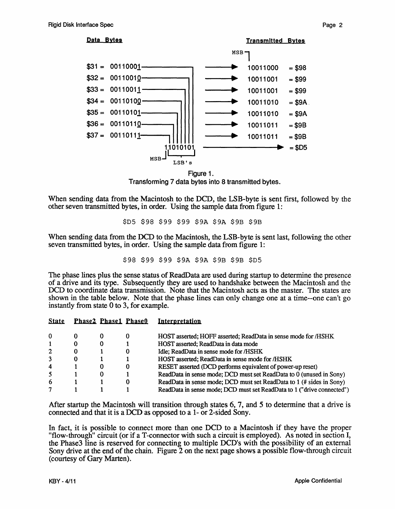Data Bytes **Transmitted Bytes MSB**  $$31 = 00110001 -$ 10011000  $= $98$  $$32 = 00110010$ 10011001  $= $99$  $$33 = 00110011$ 10011001  $= $99$  $$34 = 00110100$ 10011010  $= $9A$  $$35 = 00110101-$ 10011010  $= $9A$  $$36 = 00110110-$ 10011011  $= $9B$  $$37 = 00110111$ 10011011  $= $9B$  $= $D5$ 1010101 **MSB** LSB's

Figure 1. Transforming 7 data bytes into 8 transmitted bytes.

When sending data from the Macintosh to the DCD, the LSB-byte is sent first, followed by the other seven transmitted bytes, in order. Using the sample data from figure 1:

\$D5 \$98 \$99 \$99 \$9A \$9A \$9B \$9B

When sending data from the DCD to the Macintosh, the LSB-byte is sent last, following the other seven transmitted bytes, in order. Using the sample data from figure 1:

\$98 \$99 \$99 \$9A \$9A \$9B \$9B \$D5

The phase lines plus the sense status of ReadData are used during startup to determine the presence of a drive and its type. Subsequently they are used to handshake between the Macintosh and the DCD to coordinate data transmission. Note that the Macintosh acts as the master. The states are shown in the table below. Note that the phase lines can only change one at a time-one can't go instantly from state 0 to 3, for example.

| <b>State</b>   | <b>Phase2 Phase1 Phase0</b> | Interpretation                                                         |
|----------------|-----------------------------|------------------------------------------------------------------------|
| $\Omega$       |                             | HOST asserted; HOFF asserted; ReadData in sense mode for /HSHK         |
|                |                             | HOST asserted; ReadData in data mode                                   |
| $\overline{2}$ |                             | Idle; ReadData in sense mode for /HSHK                                 |
| 3              |                             | HOST asserted; ReadData in sense mode for /HSHK                        |
| 4              |                             | RESET asserted (DCD performs equivalent of power-up reset)             |
| 5              |                             | ReadData in sense mode; DCD must set ReadData to 0 (unused in Sony)    |
| 6              |                             | ReadData in sense mode; DCD must set ReadData to 1 (# sides in Sony)   |
|                |                             | ReadData in sense mode; DCD must set ReadData to 1 ("drive connected") |

After startup the Macintosh will transition through states 6, 7, and 5 to determine that a drive is connected and that it is a DCD as opposed to a 1- or 2-sided Sony.

In fact, it is possible to connect more than one DCD to a Macintosh if they have the proper "flow-through" circuit (or if a T-connector with such a circuit is employed). As noted in section I, the Phase3 line is reserved for connecting to multiple DCD's with the possibility of an external Sony drive at the end of the chain. Figure 2 on the next page shows a possible flow-through circuit (courtesy of Gary Marten).

Page 2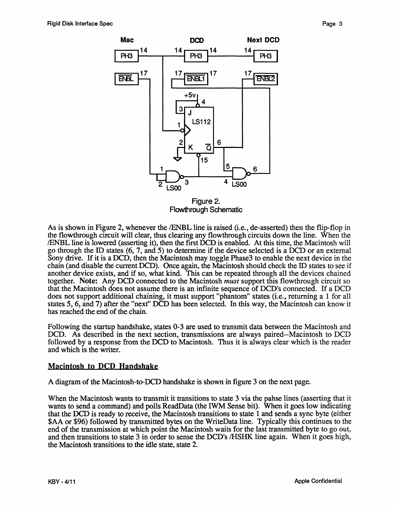

Figure 2. Flowthrough Schematic

As is shown in Figure 2, whenever the *IENBL* line is raised (i.e., de-asserted) then the flip-flop in the flowthrough circuit will clear, thus clearing any flowthrough circuits down the line. When the IENBL line is lowered (asserting it), then the first DCD is enabled. At this time, the Macintosh will go through the ID states (6, 7, and 5) to determine if the device selected is a DCD or an external Sony drive. If it is a DCD, then the Macintosh may toggle Phase3 to enable the next device in the chain (and disable the current DCD). Once again, the Macintosh should check the ID states to see if another device exists, and if so, what kind. This can be repeated through all the devices chained together. Note: Any DCD connected to the Macintosh *must* support this flowthrough circuit so that the Macintosh does not assume there is an infinite sequence of DCD's connected. If a DCD does not support additional chaining, it must support "phantom" states (i.e., returning a 1 for all states 5, 6, and 7) after the "next" DCD has been selected. In this way, the Macintosh can know it has reached the end of the chain.

Following the startup handshake, states 0-3 are used to transmit data between the Macintosh and DCD. As described in the next section, transmissions are always paired--Macintosh to DCD followed by a response from the DCD to Macintosh. Thus it is always clear which is the reader and which is the writer.

### **Macintosh to DCD Handshake**

A diagram of the Macintosh-to-DCD handshake is shown in figure 3 on the next page.

When the Macintosh wants to transmit it transitions to state 3 via the pahse lines (asserting that it wants to send a command) and polls ReadData (the IWM Sense bit). When it goes low indicating that the DCD is ready to receive, the Macintosh transitions to state 1 and sends a sync byte (either \$AA or \$96) followed by transmitted bytes on the WriteData line. Typically this continues to the end of the transmission at which point the Macintosh waits for the last transmitted byte to go out, and then transitions to state 3 in order to sense the DCD's /HSHK line again. When it goes high, the Macintosh transitions to the idle state, state 2.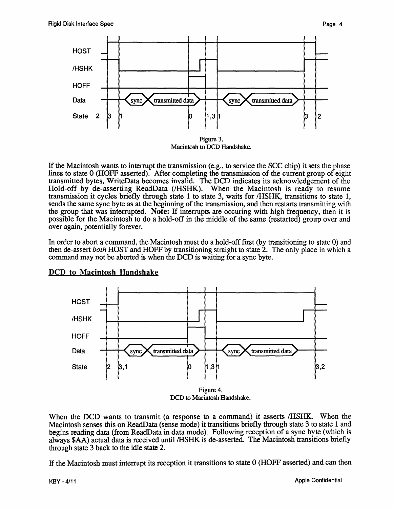

If the Macintosh wants to interrupt the transmission (e.g., to service the SCC chip) it sets the phase lines to state 0 (HOFF asserted). After completing the transmission of the current group of eight transmitted bytes, WriteData becomes invalid. The DCD indicates its acknowledgement of the Hold-off by de-asserting ReadData *(/HSHK).* When the Macintosh is ready to resume transmission it cycles briefly through state 1 to state 3, waits for *IHSHK,* transitions to state 1, sends the same sync byte as at the beginning of the transmission, and then restarts transmitting with the group that was interrupted. Note: If interrupts are occuring with high frequency, then it is possible for the Macintosh to do a hold-off in the middle of the same (restarted) group over and over again, potentially forever.

In order to abort a command, the Macintosh must do a hold-off first (by transitioning to state 0) and then de-assert *both* HOST and HOFF by transitioning straight to state 2. The only place in which a command may not be aborted is when the DCD is waiting for a sync byte.



### DCD to Macintosh Handshake

DCD to Macintosh Handshake.

When the DCD wants to transmit (a response to a command) it asserts *IHSHK*. When the Macintosh senses this on ReadData (sense mode) it transitions briefly through state 3 to state 1 and begins reading data (from ReadData in data mode). Following reception of a sync byte (which is always \$AA) actual data is received until /HSHK is de-asserted. The Macintosh transitions briefly through state 3 back to the idle state 2.

If the Macintosh must interrupt its reception it transitions to state 0 (HOFF asserted) and can then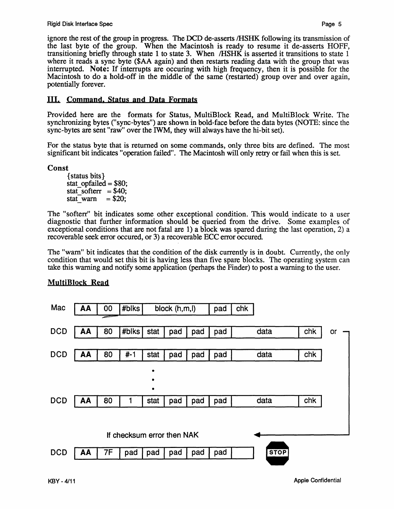ignore the rest of the group in progress. The DCD de-asserts /HSHK following its transmission of the last byte of the group. When the Macintosh is ready to resume it de-asserts HOFF, transitioning briefly through state 1 to state 3. When /HSHK is asserted it transitions to state 1 where it reads a sync byte (\$AA again) and then restarts reading data with the group that was interrupted. Note: If interrupts are occuring with high frequency, then it is possible for the Macintosh to do a hold-off in the middle of the same (restarted) group over and over again, potentially forever.

## III. Command. Status and Data Formats

Provided here are the formats for Status, MultiBlock Read, and MultiBlock Write. The synchronizing bytes ("sync-bytes") are shown in bold-face before the data bytes (NOTE: since the sync-bytes are sent "raw" over the IWM, they will always have the hi-bit set).

For the status byte that is returned on some commands, only three bits are defined. The most significant bit indicates "operation failed". The Macintosh will only retry or fail when this is set.

Const

{status bits} stat  $\text{opfailed} = $80$ ; stat softerr =  $$40;$ stat warn  $= $20;$ 

The "softerr" bit indicates some other exceptional condition. This would indicate to a user diagnostic that further information should be queried from the drive. Some examples of exceptional conditions that are not fatal are 1) a block was spared during the last operation, 2) a recoverable seek error occured, or 3) a recoverable ECC error occured.

The "warn" bit indicates that the condition of the disk currently is in doubt. Currently, the only condition that would set this bit is having less than five spare blocks. The operating system can take this warning and notify some application (perhaps the Finder) to post a warning to the user.

## MultiBlock Read

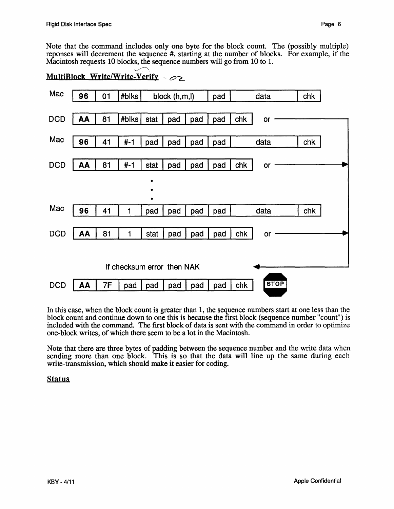Note that the command includes only one byte for the block count. The (possibly multiple) reponses will decrement the sequence #, starting at the number of blocks. For example, if the Macintosh requests 10 blocks, the sequence numbers will go from 10 to 1.<br>Markinhards Waite Waite Markin

| MultiBlock Write/Write-Verify $\sim$ $\infty$ |    |           |                            |          |               |     |     |     |             |     |  |
|-----------------------------------------------|----|-----------|----------------------------|----------|---------------|-----|-----|-----|-------------|-----|--|
| Mac                                           | 96 | 01        | #blks                      |          | block (h,m,l) |     | pad |     | data        | chk |  |
| <b>DCD</b>                                    | AA | 81        | #blks                      | stat     | pad           | pad | pad | chk | or          |     |  |
| Mac                                           | 96 | 41        | $# - 1$                    | pad      | pad           | pad | pad |     | data        | chk |  |
| <b>DCD</b>                                    | AA | 81        | $# - 1$                    | stat     | pad           | pad | pad | chk | or          |     |  |
|                                               |    |           |                            | ٠        |               |     |     |     |             |     |  |
| Mac                                           | 96 | 41        | 1                          | ٠<br>pad | pad           | pad | pad |     | data        | chk |  |
| <b>DCD</b>                                    | AA | 81        | 1                          | stat     | pad           | pad | pad | chk | or          |     |  |
|                                               |    |           |                            |          |               |     |     |     |             |     |  |
|                                               |    |           | If checksum error then NAK |          |               |     |     |     |             |     |  |
| <b>DCD</b>                                    | AA | <b>7F</b> | pad                        | pad      | pad           | pad | pad | chk | <b>STOP</b> |     |  |

In this case, when the block count is greater than 1, the sequence numbers start at one less than the block count and continue down to one this is because the first block (sequence number "count") is included with the command. The first block of data is sent with the command in order to optimize one-block writes, of which there seem to be a lot in the Macintosh.

Note that there are three bytes of padding between the sequence number and the write data when sending more than one block. This is so that the data will line up the same during each write-transmission, which should make it easier for coding.

#### **Status**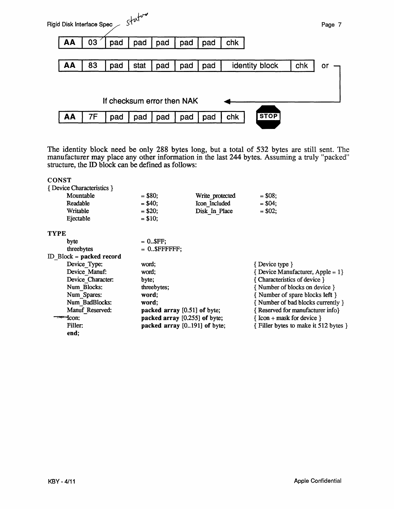

The identity block need be only 288 bytes long, but a total of 532 bytes are still sent. The manufacturer may place any other information in the last 244 bytes. Assuming a truly "packed" structure, the ID block can be defined as follows:

| <b>CONST</b>                            |                              |                                 |                                                       |
|-----------------------------------------|------------------------------|---------------------------------|-------------------------------------------------------|
| { Device Characteristics }              |                              |                                 |                                                       |
| Mountable                               | $=$ \$80;                    | Write protected                 | $= $08;$                                              |
| Readable                                | $= $40;$                     | Icon Included                   | $= $04;$                                              |
| Writable                                | $= $20;$                     | Disk In Place                   | $= $02;$                                              |
| Ejectable                               | $= $10;$                     |                                 |                                                       |
| <b>TYPE</b>                             |                              |                                 |                                                       |
| byte                                    | $= 0.3$ FF:                  |                                 |                                                       |
| threebytes                              | $= 0.0$ \$FFFFFFF;           |                                 |                                                       |
| ID Block = $\boldsymbol{packet}$ record |                              |                                 |                                                       |
| Device Type:                            | word:                        |                                 | { Device type }                                       |
| Device Manuf:                           | word:                        |                                 | $\{$ Device Manufacturer, Apple = 1 $\}$              |
| Device Character:                       | byte;                        |                                 | { Characteristics of device }                         |
| Num Blocks:                             | threebytes;                  |                                 | {Number of blocks on device }                         |
| Num Spares:                             | word:                        |                                 | { Number of spare blocks left }                       |
| Num BadBlocks:                          | word:                        |                                 | {Number of bad blocks currently }                     |
| Manuf Reserved:                         | packed array [0.51] of byte; |                                 | {Reserved for manufacturer info}                      |
| $=$ $ con:$                             |                              | packed array $[0.255]$ of byte; | $\{ \text{Icon} + \text{mask} \text{ for device } \}$ |
| Filler:                                 |                              | packed array [0191] of byte;    | { Filler bytes to make it 512 bytes }                 |
| end;                                    |                              |                                 |                                                       |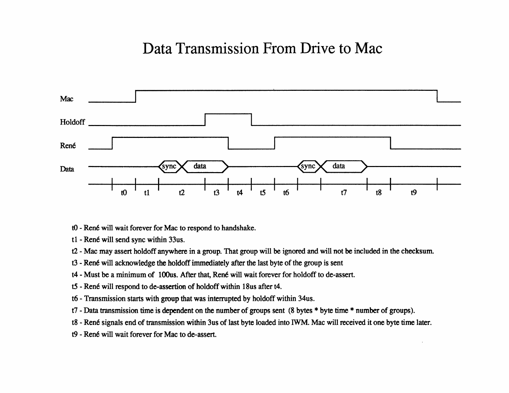# Data Transmission From Drive to Mac



- t0 René will wait forever for Mac to respond to handshake.
- t1 René will send sync within 33us.
- t2 Mac may assert holdoff anywhere in a group. That group will be ignored and will not be included in the checksum.
- t3 René will acknowledge the holdoff immediately after the last byte of the group is sent
- t4 Must be a minimum of 100us. After that, René will wait forever for holdoff to de-assert.
- t5 René will respond to de-assertion of holdoff within 18us after t4.
- t6 Transmission starts with group that was interrupted by holdoff within 34us.
- t7 Data transmission time is dependent on the number of groups sent (8 bytes \* byte time \* number of groups).
- t8 René signals end of transmission within 3us of last byte loaded into IWM. Mac will received it one byte time later.
- t9 René will wait forever for Mac to de-assert.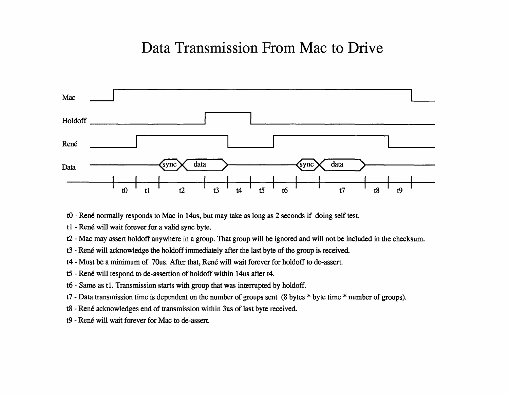# Data Transmission From Mac to Drive



t0 - René normally responds to Mac in 14us, but may take as long as 2 seconds if doing self test.

- t1 René will wait forever for a valid sync byte.
- t2 Mac may assert holdoff anywhere in a group. That group will be ignored and will not be included in the checksum.
- t3 René will acknowledge the holdoff immediately after the last byte of the group is received.
- t4 Must be a minimum of 70us. After that, René will wait forever for holdoff to de-assert.
- t5 René will respond to de-assertion of holdoff within 14us after t4.
- t6 Same as t1. Transmission starts with group that was interrupted by holdoff.
- t7 Data transmission time is dependent on the number of groups sent (8 bytes \* byte time \* number of groups).
- t8 René acknowledges end of transmission within 3us of last byte received.
- t9 René will wait forever for Mac to de-assert.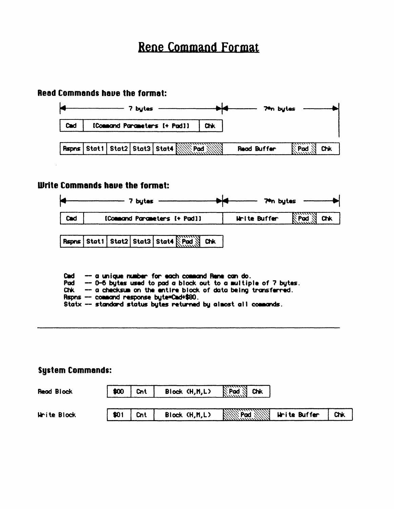# **Rene Command Format**

### Read Commands have the format:



### Write Commands have the format:



| Rspns Stat1 Stat2 Stat3 Stat4 Pad Thk |  |  |  |  |  |  |  |
|---------------------------------------|--|--|--|--|--|--|--|
|---------------------------------------|--|--|--|--|--|--|--|

|  |  |  | Cad - a unique number for each command Rene can do. |  |  |
|--|--|--|-----------------------------------------------------|--|--|
|  |  |  |                                                     |  |  |

Pad  $-$  0-6 bytes used to pad a block out to a multiple of 7 bytes.

Chk - a checksum on the entire block of data being transferred.

Rspns -- command response byte=Cmd+\$80.

Statx -- standard status bytes returned by almost all commands.

## **System Commands:**

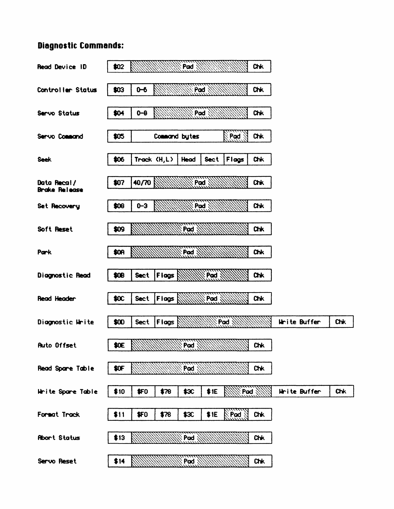### **Diagnostic Commands:**